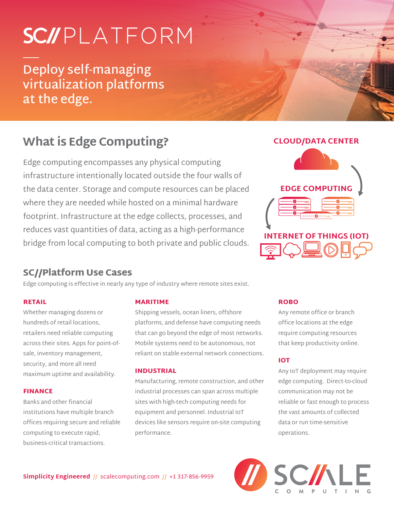# SC//PLATFORM

**Deploy self-managing virtualization platforms at the edge.**

# **What is Edge Computing?**

Edge computing encompasses any physical computing infrastructure intentionally located outside the four walls of the data center. Storage and compute resources can be placed where they are needed while hosted on a minimal hardware footprint. Infrastructure at the edge collects, processes, and reduces vast quantities of data, acting as a high-performance bridge from local computing to both private and public clouds.

#### **CLOUD/DATA CENTER**



# SC//Platform Use Cases

Edge computing is effective in nearly any type of industry where remote sites exist.

#### RETAIL

Whether managing dozens or hundreds of retail locations, retailers need reliable computing across their sites. Apps for point-ofsale, inventory management, security, and more all need maximum uptime and availability.

#### FINANCE

Banks and other financial institutions have multiple branch offices requiring secure and reliable computing to execute rapid, business-critical transactions.

#### MARITIME

Shipping vessels, ocean liners, offshore platforms, and defense have computing needs that can go beyond the edge of most networks. Mobile systems need to be autonomous, not reliant on stable external network connections.

#### INDUSTRIAL

Manufacturing, remote construction, and other industrial processes can span across multiple sites with high-tech computing needs for equipment and personnel. Industrial IoT devices like sensors require on-site computing performance.

#### ROBO

Any remote office or branch office locations at the edge require computing resources that keep productivity online.

#### IOT

Any IoT deployment may require edge computing. Direct-to-cloud communication may not be reliable or fast enough to process the vast amounts of collected data or run time-sensitive operations.